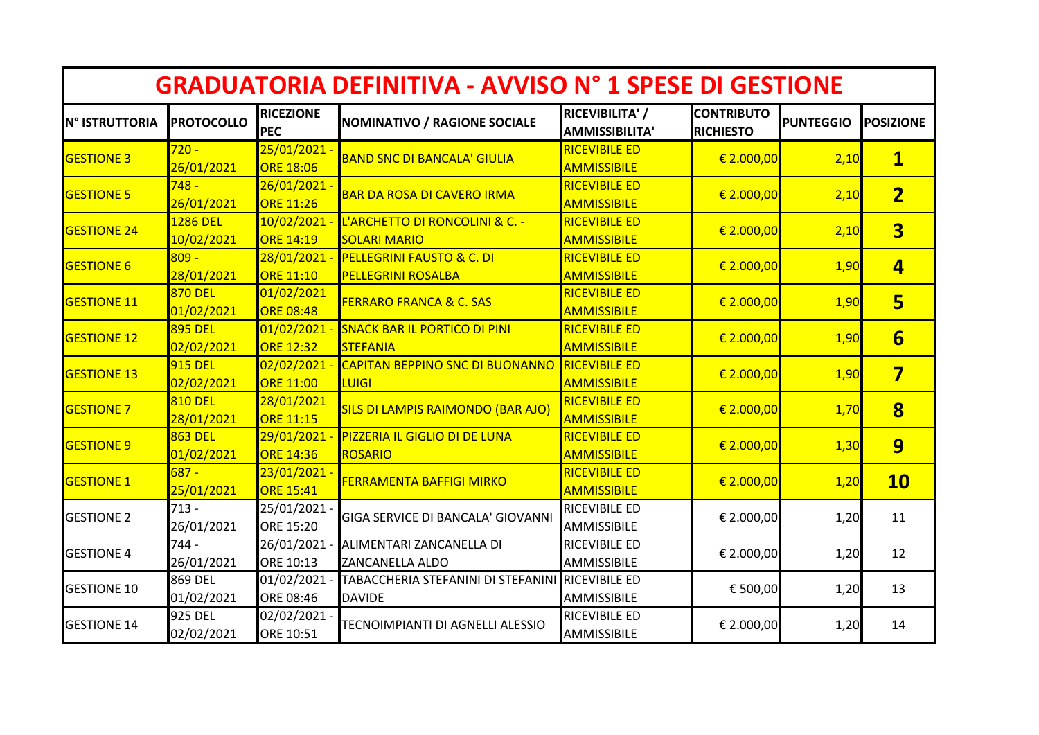| <b>GRADUATORIA DEFINITIVA - AVVISO Nº 1 SPESE DI GESTIONE</b> |                              |                                  |                                                                   |                                            |                                       |                  |                         |  |  |  |  |
|---------------------------------------------------------------|------------------------------|----------------------------------|-------------------------------------------------------------------|--------------------------------------------|---------------------------------------|------------------|-------------------------|--|--|--|--|
| <b>N° ISTRUTTORIA</b>                                         | <b>PROTOCOLLO</b>            | <b>RICEZIONE</b><br><b>PEC</b>   | <b>NOMINATIVO / RAGIONE SOCIALE</b>                               | RICEVIBILITA' /<br><b>AMMISSIBILITA'</b>   | <b>CONTRIBUTO</b><br><b>RICHIESTO</b> | <b>PUNTEGGIO</b> | <b>POSIZIONE</b>        |  |  |  |  |
| <b>GESTIONE 3</b>                                             | $720 -$<br>26/01/2021        | 25/01/2021 -<br><b>ORE 18:06</b> | <b>BAND SNC DI BANCALA' GIULIA</b>                                | <b>RICEVIBILE ED</b><br><b>AMMISSIBILE</b> | € 2.000,00                            | 2,10             | $\overline{\mathbf{1}}$ |  |  |  |  |
| <b>GESTIONE 5</b>                                             | $748 -$<br>26/01/2021        | 26/01/2021<br><b>ORE 11:26</b>   | <b>BAR DA ROSA DI CAVERO IRMA</b>                                 | <b>RICEVIBILE ED</b><br><b>AMMISSIBILE</b> | € 2.000,00                            | 2,10             | $\overline{2}$          |  |  |  |  |
| <b>GESTIONE 24</b>                                            | 1286 DEL<br>10/02/2021       | 10/02/2021<br><b>ORE 14:19</b>   | L'ARCHETTO DI RONCOLINI & C. -<br><b>SOLARI MARIO</b>             | <b>RICEVIBILE ED</b><br><b>AMMISSIBILE</b> | € 2.000,00                            | 2,10             | $\overline{\mathbf{3}}$ |  |  |  |  |
| <b>GESTIONE 6</b>                                             | $809 -$<br>28/01/2021        | 28/01/2021<br><b>ORE 11:10</b>   | <b>PELLEGRINI FAUSTO &amp; C. DI</b><br><b>PELLEGRINI ROSALBA</b> | <b>RICEVIBILE ED</b><br><b>AMMISSIBILE</b> | € 2.000,00                            | 1,90             | $\overline{\mathbf{4}}$ |  |  |  |  |
| <b>GESTIONE 11</b>                                            | <b>870 DEL</b><br>01/02/2021 | 01/02/2021<br><b>ORE 08:48</b>   | <b>FERRARO FRANCA &amp; C. SAS</b>                                | <b>RICEVIBILE ED</b><br><b>AMMISSIBILE</b> | € 2.000,00                            | 1,90             | 5 <sub>1</sub>          |  |  |  |  |
| <b>GESTIONE 12</b>                                            | 895 DEL<br>02/02/2021        | 01/02/2021<br><b>ORE 12:32</b>   | <b>SNACK BAR IL PORTICO DI PINI</b><br><b>STEFANIA</b>            | <b>RICEVIBILE ED</b><br><b>AMMISSIBILE</b> | € 2.000,00                            | 1,90             | $6\overline{}$          |  |  |  |  |
| <b>GESTIONE 13</b>                                            | <b>915 DEL</b><br>02/02/2021 | 02/02/2021<br><b>ORE 11:00</b>   | <b>CAPITAN BEPPINO SNC DI BUONANNO</b><br><b>LUIGI</b>            | <b>RICEVIBILE ED</b><br><b>AMMISSIBILE</b> | $\in$ 2.000,00                        | 1,90             | $\overline{\mathbf{7}}$ |  |  |  |  |
| <b>GESTIONE 7</b>                                             | <b>810 DEL</b><br>28/01/2021 | 28/01/2021<br><b>ORE 11:15</b>   | <b>SILS DI LAMPIS RAIMONDO (BAR AJO)</b>                          | <b>RICEVIBILE ED</b><br><b>AMMISSIBILE</b> | € 2.000,00                            | 1,70             | $\overline{\mathbf{8}}$ |  |  |  |  |
| <b>GESTIONE 9</b>                                             | <b>863 DEL</b><br>01/02/2021 | 29/01/2021<br><b>ORE 14:36</b>   | PIZZERIA IL GIGLIO DI DE LUNA<br>ROSARIO                          | <b>RICEVIBILE ED</b><br><b>AMMISSIBILE</b> | € 2.000,00                            | 1,30             | 9                       |  |  |  |  |
| <b>GESTIONE 1</b>                                             | $687 -$<br>25/01/2021        | 23/01/2021<br><b>ORE 15:41</b>   | <b>FERRAMENTA BAFFIGI MIRKO</b>                                   | <b>RICEVIBILE ED</b><br><b>AMMISSIBILE</b> | € 2.000,00                            | 1,20             | <b>10</b>               |  |  |  |  |
| <b>GESTIONE 2</b>                                             | $713 -$<br>26/01/2021        | 25/01/2021<br>ORE 15:20          | GIGA SERVICE DI BANCALA' GIOVANNI                                 | <b>RICEVIBILE ED</b><br>AMMISSIBILE        | € 2.000,00                            | 1,20             | 11                      |  |  |  |  |
| <b>GESTIONE 4</b>                                             | $744 -$<br>26/01/2021        | 26/01/2021<br>ORE 10:13          | ALIMENTARI ZANCANELLA DI<br><b>ZANCANELLA ALDO</b>                | <b>RICEVIBILE ED</b><br>AMMISSIBILE        | € 2.000,00                            | 1,20             | 12                      |  |  |  |  |
| <b>GESTIONE 10</b>                                            | 869 DEL<br>01/02/2021        | 01/02/2021<br>ORE 08:46          | TABACCHERIA STEFANINI DI STEFANINI<br><b>DAVIDE</b>               | <b>RICEVIBILE ED</b><br>AMMISSIBILE        | € 500,00                              | 1,20             | 13                      |  |  |  |  |
| <b>GESTIONE 14</b>                                            | <b>925 DEL</b><br>02/02/2021 | 02/02/2021<br>ORE 10:51          | TECNOIMPIANTI DI AGNELLI ALESSIO                                  | <b>RICEVIBILE ED</b><br>AMMISSIBILE        | € 2.000,00                            | 1,20             | 14                      |  |  |  |  |